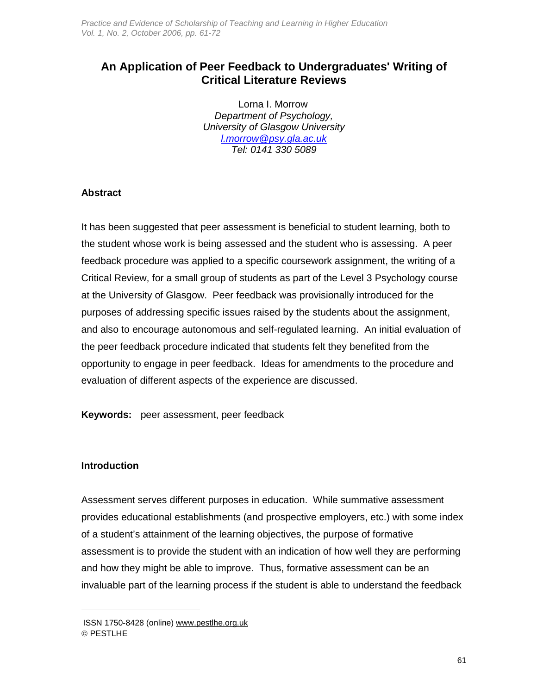Practice and Evidence of Scholarship of Teaching and Learning in Higher Education Vol. 1, No. 2, October 2006, pp. 61-72

# **An Application of Peer Feedback to Undergraduates' Writing of Critical Literature Reviews**

Lorna I. Morrow Department of Psychology, University of Glasgow University l.morrow@psy.gla.ac.uk Tel: 0141 330 5089

#### **Abstract**

It has been suggested that peer assessment is beneficial to student learning, both to the student whose work is being assessed and the student who is assessing. A peer feedback procedure was applied to a specific coursework assignment, the writing of a Critical Review, for a small group of students as part of the Level 3 Psychology course at the University of Glasgow. Peer feedback was provisionally introduced for the purposes of addressing specific issues raised by the students about the assignment, and also to encourage autonomous and self-regulated learning. An initial evaluation of the peer feedback procedure indicated that students felt they benefited from the opportunity to engage in peer feedback. Ideas for amendments to the procedure and evaluation of different aspects of the experience are discussed.

**Keywords:** peer assessment, peer feedback

#### **Introduction**

 $\overline{a}$ 

Assessment serves different purposes in education. While summative assessment provides educational establishments (and prospective employers, etc.) with some index of a student's attainment of the learning objectives, the purpose of formative assessment is to provide the student with an indication of how well they are performing and how they might be able to improve. Thus, formative assessment can be an invaluable part of the learning process if the student is able to understand the feedback

ISSN 1750-8428 (online) www.pestlhe.org.uk © PESTLHE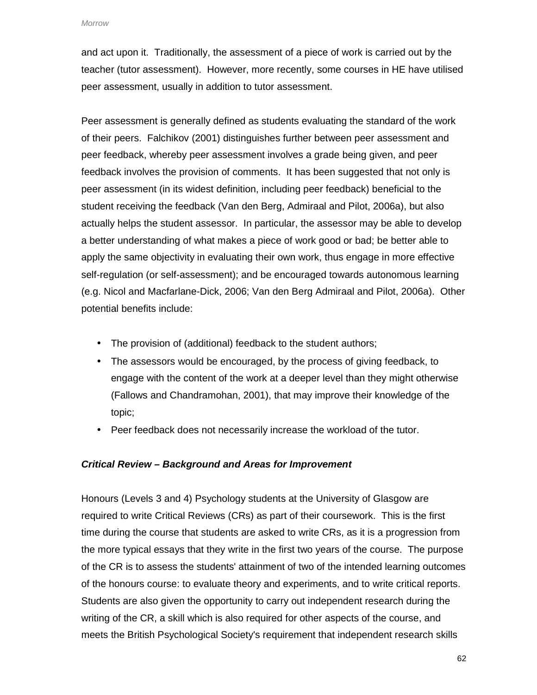and act upon it. Traditionally, the assessment of a piece of work is carried out by the teacher (tutor assessment). However, more recently, some courses in HE have utilised peer assessment, usually in addition to tutor assessment.

Peer assessment is generally defined as students evaluating the standard of the work of their peers. Falchikov (2001) distinguishes further between peer assessment and peer feedback, whereby peer assessment involves a grade being given, and peer feedback involves the provision of comments. It has been suggested that not only is peer assessment (in its widest definition, including peer feedback) beneficial to the student receiving the feedback (Van den Berg, Admiraal and Pilot, 2006a), but also actually helps the student assessor. In particular, the assessor may be able to develop a better understanding of what makes a piece of work good or bad; be better able to apply the same objectivity in evaluating their own work, thus engage in more effective self-regulation (or self-assessment); and be encouraged towards autonomous learning (e.g. Nicol and Macfarlane-Dick, 2006; Van den Berg Admiraal and Pilot, 2006a). Other potential benefits include:

- The provision of (additional) feedback to the student authors;
- The assessors would be encouraged, by the process of giving feedback, to engage with the content of the work at a deeper level than they might otherwise (Fallows and Chandramohan, 2001), that may improve their knowledge of the topic;
- Peer feedback does not necessarily increase the workload of the tutor.

### **Critical Review – Background and Areas for Improvement**

Honours (Levels 3 and 4) Psychology students at the University of Glasgow are required to write Critical Reviews (CRs) as part of their coursework. This is the first time during the course that students are asked to write CRs, as it is a progression from the more typical essays that they write in the first two years of the course. The purpose of the CR is to assess the students' attainment of two of the intended learning outcomes of the honours course: to evaluate theory and experiments, and to write critical reports. Students are also given the opportunity to carry out independent research during the writing of the CR, a skill which is also required for other aspects of the course, and meets the British Psychological Society's requirement that independent research skills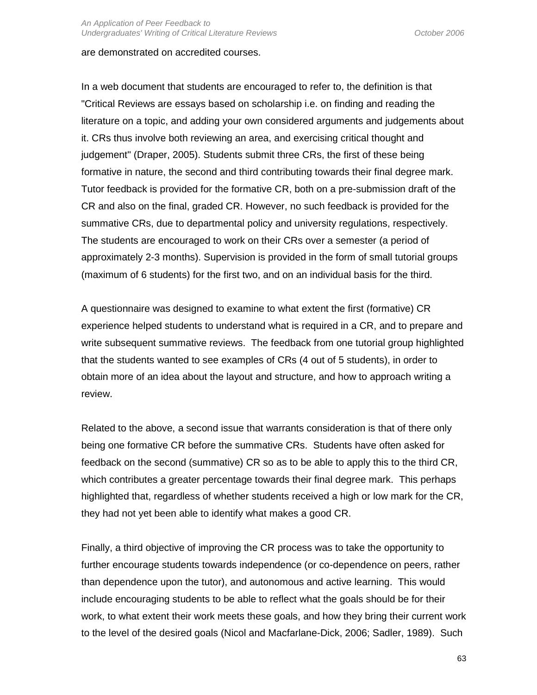#### are demonstrated on accredited courses.

In a web document that students are encouraged to refer to, the definition is that "Critical Reviews are essays based on scholarship i.e. on finding and reading the literature on a topic, and adding your own considered arguments and judgements about it. CRs thus involve both reviewing an area, and exercising critical thought and judgement" (Draper, 2005). Students submit three CRs, the first of these being formative in nature, the second and third contributing towards their final degree mark. Tutor feedback is provided for the formative CR, both on a pre-submission draft of the CR and also on the final, graded CR. However, no such feedback is provided for the summative CRs, due to departmental policy and university regulations, respectively. The students are encouraged to work on their CRs over a semester (a period of approximately 2-3 months). Supervision is provided in the form of small tutorial groups (maximum of 6 students) for the first two, and on an individual basis for the third.

A questionnaire was designed to examine to what extent the first (formative) CR experience helped students to understand what is required in a CR, and to prepare and write subsequent summative reviews. The feedback from one tutorial group highlighted that the students wanted to see examples of CRs (4 out of 5 students), in order to obtain more of an idea about the layout and structure, and how to approach writing a review.

Related to the above, a second issue that warrants consideration is that of there only being one formative CR before the summative CRs. Students have often asked for feedback on the second (summative) CR so as to be able to apply this to the third CR, which contributes a greater percentage towards their final degree mark. This perhaps highlighted that, regardless of whether students received a high or low mark for the CR, they had not yet been able to identify what makes a good CR.

Finally, a third objective of improving the CR process was to take the opportunity to further encourage students towards independence (or co-dependence on peers, rather than dependence upon the tutor), and autonomous and active learning. This would include encouraging students to be able to reflect what the goals should be for their work, to what extent their work meets these goals, and how they bring their current work to the level of the desired goals (Nicol and Macfarlane-Dick, 2006; Sadler, 1989). Such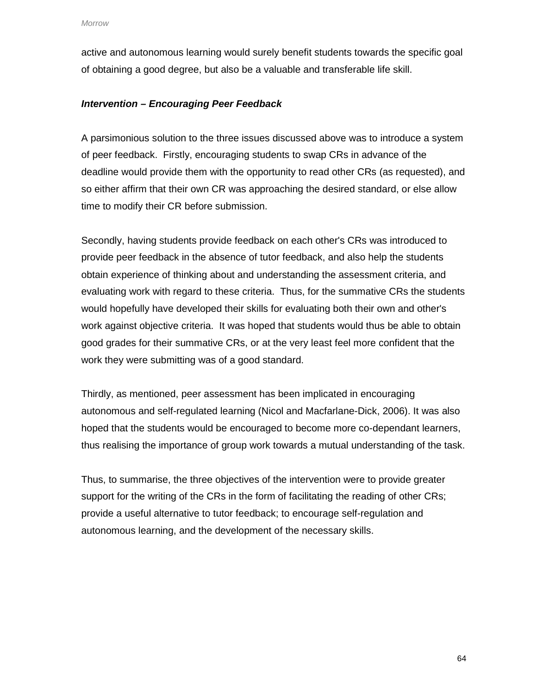active and autonomous learning would surely benefit students towards the specific goal of obtaining a good degree, but also be a valuable and transferable life skill.

## **Intervention – Encouraging Peer Feedback**

A parsimonious solution to the three issues discussed above was to introduce a system of peer feedback. Firstly, encouraging students to swap CRs in advance of the deadline would provide them with the opportunity to read other CRs (as requested), and so either affirm that their own CR was approaching the desired standard, or else allow time to modify their CR before submission.

Secondly, having students provide feedback on each other's CRs was introduced to provide peer feedback in the absence of tutor feedback, and also help the students obtain experience of thinking about and understanding the assessment criteria, and evaluating work with regard to these criteria. Thus, for the summative CRs the students would hopefully have developed their skills for evaluating both their own and other's work against objective criteria. It was hoped that students would thus be able to obtain good grades for their summative CRs, or at the very least feel more confident that the work they were submitting was of a good standard.

Thirdly, as mentioned, peer assessment has been implicated in encouraging autonomous and self-regulated learning (Nicol and Macfarlane-Dick, 2006). It was also hoped that the students would be encouraged to become more co-dependant learners, thus realising the importance of group work towards a mutual understanding of the task.

Thus, to summarise, the three objectives of the intervention were to provide greater support for the writing of the CRs in the form of facilitating the reading of other CRs; provide a useful alternative to tutor feedback; to encourage self-regulation and autonomous learning, and the development of the necessary skills.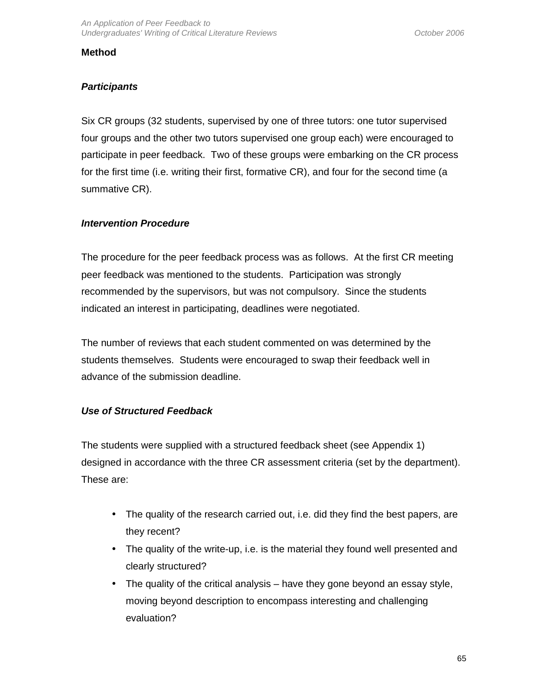### **Method**

## **Participants**

Six CR groups (32 students, supervised by one of three tutors: one tutor supervised four groups and the other two tutors supervised one group each) were encouraged to participate in peer feedback. Two of these groups were embarking on the CR process for the first time (i.e. writing their first, formative CR), and four for the second time (a summative CR).

### **Intervention Procedure**

The procedure for the peer feedback process was as follows. At the first CR meeting peer feedback was mentioned to the students. Participation was strongly recommended by the supervisors, but was not compulsory. Since the students indicated an interest in participating, deadlines were negotiated.

The number of reviews that each student commented on was determined by the students themselves. Students were encouraged to swap their feedback well in advance of the submission deadline.

## **Use of Structured Feedback**

The students were supplied with a structured feedback sheet (see Appendix 1) designed in accordance with the three CR assessment criteria (set by the department). These are:

- The quality of the research carried out, i.e. did they find the best papers, are they recent?
- The quality of the write-up, i.e. is the material they found well presented and clearly structured?
- The quality of the critical analysis have they gone beyond an essay style, moving beyond description to encompass interesting and challenging evaluation?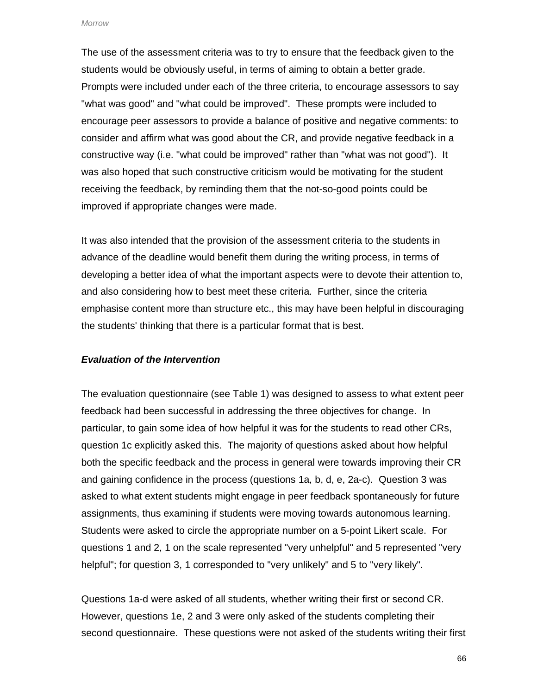The use of the assessment criteria was to try to ensure that the feedback given to the students would be obviously useful, in terms of aiming to obtain a better grade. Prompts were included under each of the three criteria, to encourage assessors to say "what was good" and "what could be improved". These prompts were included to encourage peer assessors to provide a balance of positive and negative comments: to consider and affirm what was good about the CR, and provide negative feedback in a constructive way (i.e. "what could be improved" rather than "what was not good"). It was also hoped that such constructive criticism would be motivating for the student receiving the feedback, by reminding them that the not-so-good points could be improved if appropriate changes were made.

It was also intended that the provision of the assessment criteria to the students in advance of the deadline would benefit them during the writing process, in terms of developing a better idea of what the important aspects were to devote their attention to, and also considering how to best meet these criteria. Further, since the criteria emphasise content more than structure etc., this may have been helpful in discouraging the students' thinking that there is a particular format that is best.

#### **Evaluation of the Intervention**

The evaluation questionnaire (see Table 1) was designed to assess to what extent peer feedback had been successful in addressing the three objectives for change. In particular, to gain some idea of how helpful it was for the students to read other CRs, question 1c explicitly asked this. The majority of questions asked about how helpful both the specific feedback and the process in general were towards improving their CR and gaining confidence in the process (questions 1a, b, d, e, 2a-c). Question 3 was asked to what extent students might engage in peer feedback spontaneously for future assignments, thus examining if students were moving towards autonomous learning. Students were asked to circle the appropriate number on a 5-point Likert scale. For questions 1 and 2, 1 on the scale represented "very unhelpful" and 5 represented "very helpful"; for question 3, 1 corresponded to "very unlikely" and 5 to "very likely".

Questions 1a-d were asked of all students, whether writing their first or second CR. However, questions 1e, 2 and 3 were only asked of the students completing their second questionnaire. These questions were not asked of the students writing their first

66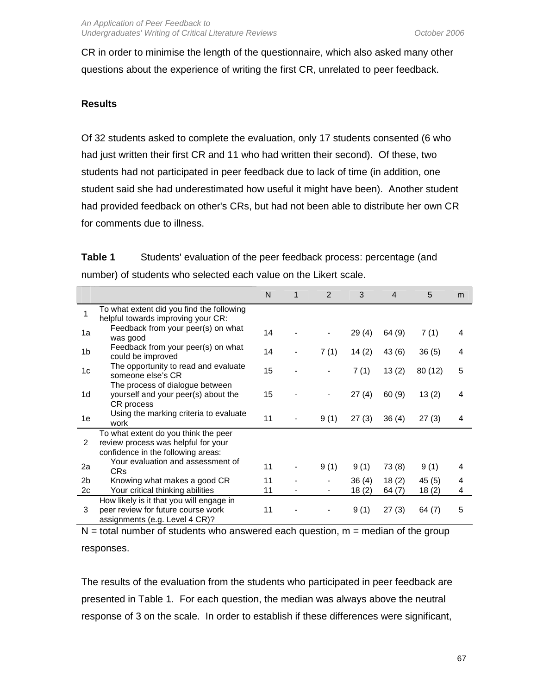CR in order to minimise the length of the questionnaire, which also asked many other questions about the experience of writing the first CR, unrelated to peer feedback.

## **Results**

Of 32 students asked to complete the evaluation, only 17 students consented (6 who had just written their first CR and 11 who had written their second). Of these, two students had not participated in peer feedback due to lack of time (in addition, one student said she had underestimated how useful it might have been). Another student had provided feedback on other's CRs, but had not been able to distribute her own CR for comments due to illness.

| Table 1 | Students' evaluation of the peer feedback process: percentage (and |
|---------|--------------------------------------------------------------------|
|         | number) of students who selected each value on the Likert scale.   |

|                      |                                                                                                                   | N        | 1 | 2    | 3              | $\overline{4}$ | 5              | m      |
|----------------------|-------------------------------------------------------------------------------------------------------------------|----------|---|------|----------------|----------------|----------------|--------|
| 1                    | To what extent did you find the following<br>helpful towards improving your CR:                                   |          |   |      |                |                |                |        |
| 1a                   | Feedback from your peer(s) on what<br>was good                                                                    | 14       |   |      | 29(4)          | 64 (9)         | 7(1)           | 4      |
| 1 <sub>b</sub>       | Feedback from your peer(s) on what<br>could be improved                                                           | 14       |   | 7(1) | 14(2)          | 43 (6)         | 36(5)          | 4      |
| 1c                   | The opportunity to read and evaluate<br>someone else's CR                                                         | 15       |   |      | 7(1)           | 13(2)          | 80 (12)        | 5      |
| 1d                   | The process of dialogue between<br>yourself and your peer(s) about the<br>CR process                              | 15       |   |      | 27(4)          | 60(9)          | 13(2)          | 4      |
| 1e                   | Using the marking criteria to evaluate<br>work                                                                    | 11       |   | 9(1) | 27(3)          | 36(4)          | 27(3)          | 4      |
| 2                    | To what extent do you think the peer<br>review process was helpful for your<br>confidence in the following areas: |          |   |      |                |                |                |        |
| 2a                   | Your evaluation and assessment of<br><b>CRs</b>                                                                   | 11       |   | 9(1) | 9(1)           | 73 (8)         | 9(1)           | 4      |
| 2 <sub>b</sub><br>2c | Knowing what makes a good CR<br>Your critical thinking abilities                                                  | 11<br>11 |   |      | 36(4)<br>18(2) | 18(2)<br>64(7) | 45(5)<br>18(2) | 4<br>4 |
| 3                    | How likely is it that you will engage in<br>peer review for future course work<br>assignments (e.g. Level 4 CR)?  | 11       |   |      | 9(1)           | 27(3)          | 64(7)          | 5      |

 $N =$  total number of students who answered each question,  $m =$  median of the group responses.

The results of the evaluation from the students who participated in peer feedback are presented in Table 1. For each question, the median was always above the neutral response of 3 on the scale. In order to establish if these differences were significant,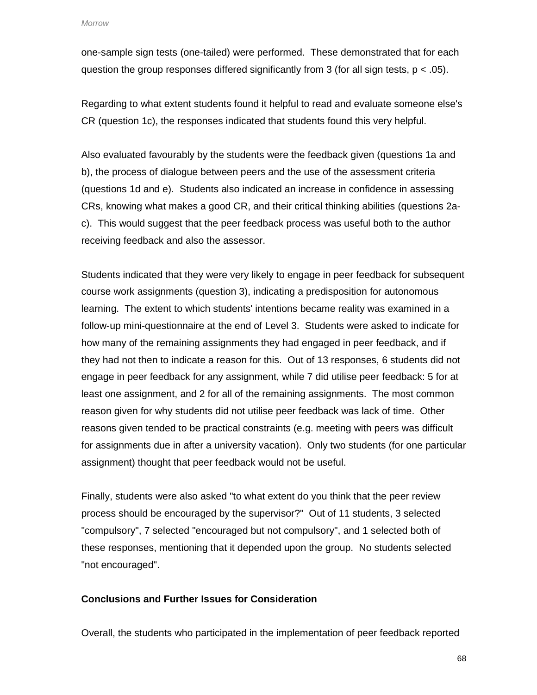Morrow

one-sample sign tests (one-tailed) were performed. These demonstrated that for each question the group responses differed significantly from 3 (for all sign tests,  $p < .05$ ).

Regarding to what extent students found it helpful to read and evaluate someone else's CR (question 1c), the responses indicated that students found this very helpful.

Also evaluated favourably by the students were the feedback given (questions 1a and b), the process of dialogue between peers and the use of the assessment criteria (questions 1d and e). Students also indicated an increase in confidence in assessing CRs, knowing what makes a good CR, and their critical thinking abilities (questions 2ac). This would suggest that the peer feedback process was useful both to the author receiving feedback and also the assessor.

Students indicated that they were very likely to engage in peer feedback for subsequent course work assignments (question 3), indicating a predisposition for autonomous learning. The extent to which students' intentions became reality was examined in a follow-up mini-questionnaire at the end of Level 3. Students were asked to indicate for how many of the remaining assignments they had engaged in peer feedback, and if they had not then to indicate a reason for this. Out of 13 responses, 6 students did not engage in peer feedback for any assignment, while 7 did utilise peer feedback: 5 for at least one assignment, and 2 for all of the remaining assignments. The most common reason given for why students did not utilise peer feedback was lack of time. Other reasons given tended to be practical constraints (e.g. meeting with peers was difficult for assignments due in after a university vacation). Only two students (for one particular assignment) thought that peer feedback would not be useful.

Finally, students were also asked "to what extent do you think that the peer review process should be encouraged by the supervisor?" Out of 11 students, 3 selected "compulsory", 7 selected "encouraged but not compulsory", and 1 selected both of these responses, mentioning that it depended upon the group. No students selected "not encouraged".

## **Conclusions and Further Issues for Consideration**

Overall, the students who participated in the implementation of peer feedback reported

68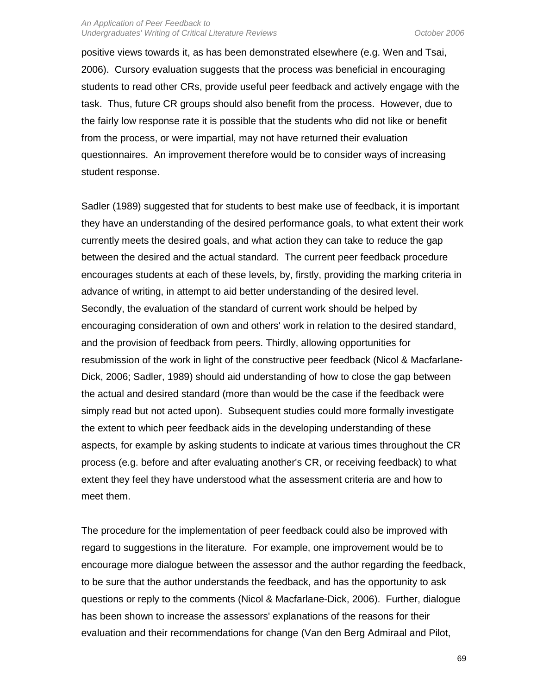#### An Application of Peer Feedback to Undergraduates' Writing of Critical Literature Reviews **Canadian Communisty Communisty** October 2006

positive views towards it, as has been demonstrated elsewhere (e.g. Wen and Tsai, 2006). Cursory evaluation suggests that the process was beneficial in encouraging students to read other CRs, provide useful peer feedback and actively engage with the task. Thus, future CR groups should also benefit from the process. However, due to the fairly low response rate it is possible that the students who did not like or benefit from the process, or were impartial, may not have returned their evaluation questionnaires. An improvement therefore would be to consider ways of increasing student response.

Sadler (1989) suggested that for students to best make use of feedback, it is important they have an understanding of the desired performance goals, to what extent their work currently meets the desired goals, and what action they can take to reduce the gap between the desired and the actual standard. The current peer feedback procedure encourages students at each of these levels, by, firstly, providing the marking criteria in advance of writing, in attempt to aid better understanding of the desired level. Secondly, the evaluation of the standard of current work should be helped by encouraging consideration of own and others' work in relation to the desired standard, and the provision of feedback from peers. Thirdly, allowing opportunities for resubmission of the work in light of the constructive peer feedback (Nicol & Macfarlane-Dick, 2006; Sadler, 1989) should aid understanding of how to close the gap between the actual and desired standard (more than would be the case if the feedback were simply read but not acted upon). Subsequent studies could more formally investigate the extent to which peer feedback aids in the developing understanding of these aspects, for example by asking students to indicate at various times throughout the CR process (e.g. before and after evaluating another's CR, or receiving feedback) to what extent they feel they have understood what the assessment criteria are and how to meet them.

The procedure for the implementation of peer feedback could also be improved with regard to suggestions in the literature. For example, one improvement would be to encourage more dialogue between the assessor and the author regarding the feedback, to be sure that the author understands the feedback, and has the opportunity to ask questions or reply to the comments (Nicol & Macfarlane-Dick, 2006). Further, dialogue has been shown to increase the assessors' explanations of the reasons for their evaluation and their recommendations for change (Van den Berg Admiraal and Pilot,

69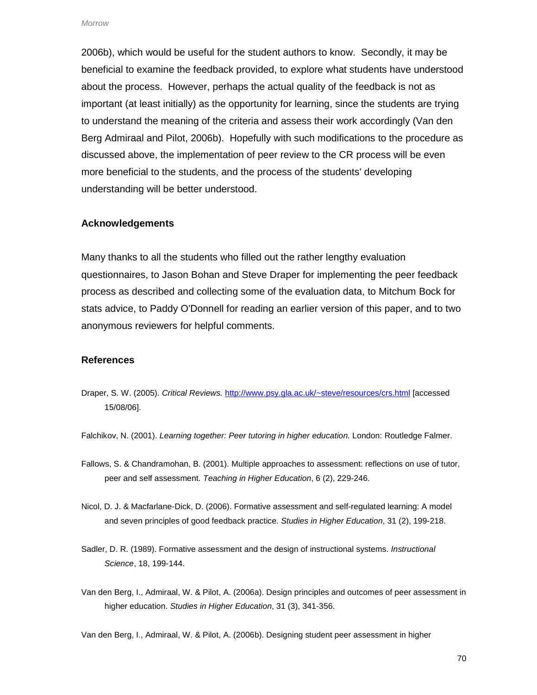2006b), which would be useful for the student authors to know. Secondly, it may be beneficial to examine the feedback provided, to explore what students have understood about the process. However, perhaps the actual quality of the feedback is not as important (at least initially) as the opportunity for learning, since the students are trying to understand the meaning of the criteria and assess their work accordingly (Van den Berg Admiraal and Pilot, 2006b). Hopefully with such modifications to the procedure as discussed above, the implementation of peer review to the CR process will be even more beneficial to the students, and the process of the students' developing understanding will be better understood.

#### **Acknowledgements**

Many thanks to all the students who filled out the rather lengthy evaluation questionnaires, to Jason Bohan and Steve Draper for implementing the peer feedback process as described and collecting some of the evaluation data, to Mitchum Bock for stats advice, to Paddy O'Donnell for reading an earlier version of this paper, and to two anonymous reviewers for helpful comments.

#### **References**

- Draper, S. W. (2005). Critical Reviews. http://www.psy.gla.ac.uk/~steve/resources/crs.html [accessed 15/08/06].
- Falchikov, N. (2001). Learning together: Peer tutoring in higher education. London: Routledge Falmer.
- Fallows, S. & Chandramohan, B. (2001). Multiple approaches to assessment: reflections on use of tutor, peer and self assessment. Teaching in Higher Education, 6 (2), 229-246.
- Nicol, D. J. & Macfarlane-Dick, D. (2006). Formative assessment and self-regulated learning: A model and seven principles of good feedback practice. Studies in Higher Education, 31 (2), 199-218.
- Sadler, D. R. (1989). Formative assessment and the design of instructional systems. Instructional Science, 18, 199-144.
- Van den Berg, I., Admiraal, W. & Pilot, A. (2006a). Design principles and outcomes of peer assessment in higher education. Studies in Higher Education, 31 (3), 341-356.

Van den Berg, I., Admiraal, W. & Pilot, A. (2006b). Designing student peer assessment in higher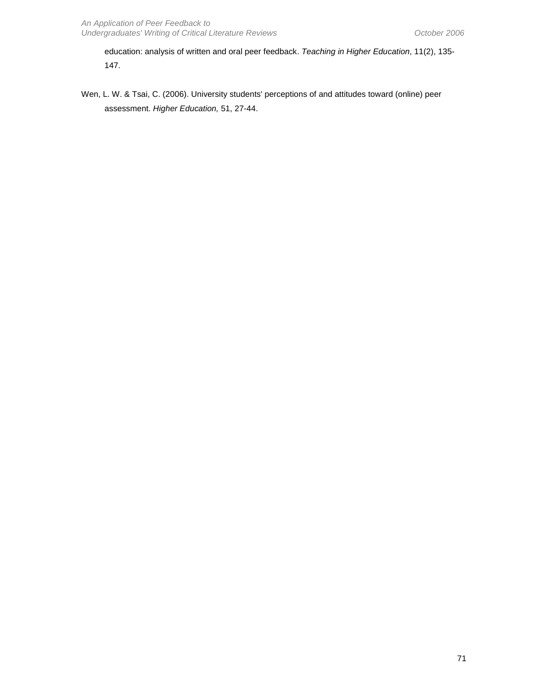education: analysis of written and oral peer feedback. Teaching in Higher Education, 11(2), 135- 147.

Wen, L. W. & Tsai, C. (2006). University students' perceptions of and attitudes toward (online) peer assessment. Higher Education, 51, 27-44.